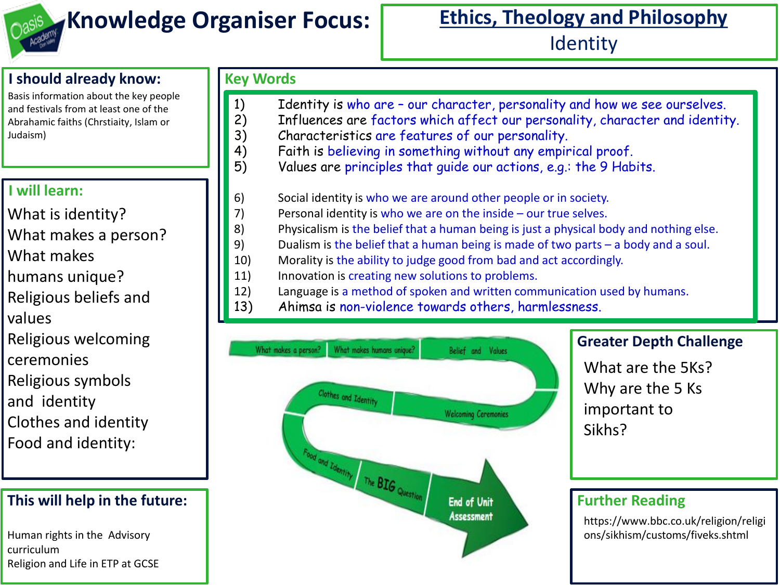

## **Knowledge Organiser Focus:** Ethics, Theology and Philosophy **Identity**

#### **I should already know:**

Basis information about the key people and festivals from at least one of the Abrahamic faiths (Chrstiaity, Islam or Judaism)

#### **I will learn:**

What is identity?

- What makes a person?
- What makes
- humans unique?
- Religious beliefs and
- values
- Religious welcoming
- ceremonies
- Religious symbols
- and identity
- Clothes and identity
- Food and identity:

#### **This will help in the future:**

Human rights in the Advisory curriculum Religion and Life in ETP at GCSE

### **Key Words**

- 1) Identity is who are our character, personality and how we see ourselves.
- 2) Influences are factors which affect our personality, character and identity.
- 3) Characteristics are features of our personality.
- 4) Faith is believing in something without any empirical proof.
- 5) Values are principles that guide our actions, e.g.: the 9 Habits.
- 6) Social identity is who we are around other people or in society.
- 7) Personal identity is who we are on the inside our true selves.
- 8) Physicalism is the belief that a human being is just a physical body and nothing else.
- 9) Dualism is the belief that a human being is made of two parts a body and a soul.
- 10) Morality is the ability to judge good from bad and act accordingly.
- 11) Innovation is creating new solutions to problems.
- 12) Language is a method of spoken and written communication used by humans.<br>13) Ahimsa is non-violence towards others, harmlessness.
	- Ahimsa is non-violence towards others, harmlessness.



#### **Greater Depth Challenge**

What are the 5Ks? Why are the 5 Ks important to Sikhs?

#### **Further Reading**

https://www.bbc.co.uk/religion/religi ons/sikhism/customs/fiveks.shtml